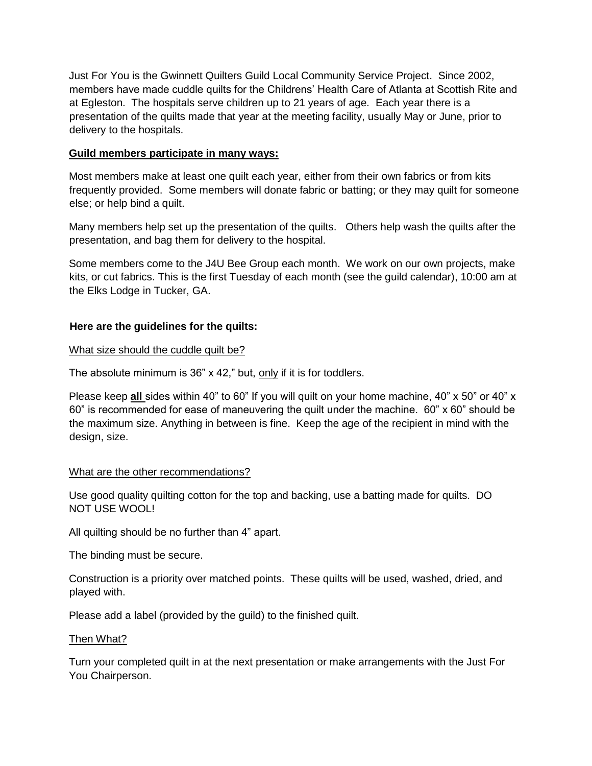Just For You is the Gwinnett Quilters Guild Local Community Service Project. Since 2002, members have made cuddle quilts for the Childrens' Health Care of Atlanta at Scottish Rite and at Egleston. The hospitals serve children up to 21 years of age. Each year there is a presentation of the quilts made that year at the meeting facility, usually May or June, prior to delivery to the hospitals.

## **Guild members participate in many ways:**

Most members make at least one quilt each year, either from their own fabrics or from kits frequently provided. Some members will donate fabric or batting; or they may quilt for someone else; or help bind a quilt.

Many members help set up the presentation of the quilts. Others help wash the quilts after the presentation, and bag them for delivery to the hospital.

Some members come to the J4U Bee Group each month. We work on our own projects, make kits, or cut fabrics. This is the first Tuesday of each month (see the guild calendar), 10:00 am at the Elks Lodge in Tucker, GA.

# **Here are the guidelines for the quilts:**

### What size should the cuddle quilt be?

The absolute minimum is 36" x 42," but, only if it is for toddlers.

Please keep **all** sides within 40" to 60" If you will quilt on your home machine, 40" x 50" or 40" x 60" is recommended for ease of maneuvering the quilt under the machine. 60" x 60" should be the maximum size. Anything in between is fine. Keep the age of the recipient in mind with the design, size.

### What are the other recommendations?

Use good quality quilting cotton for the top and backing, use a batting made for quilts. DO NOT USE WOOL!

All quilting should be no further than 4" apart.

The binding must be secure.

Construction is a priority over matched points. These quilts will be used, washed, dried, and played with.

Please add a label (provided by the guild) to the finished quilt.

### Then What?

Turn your completed quilt in at the next presentation or make arrangements with the Just For You Chairperson.